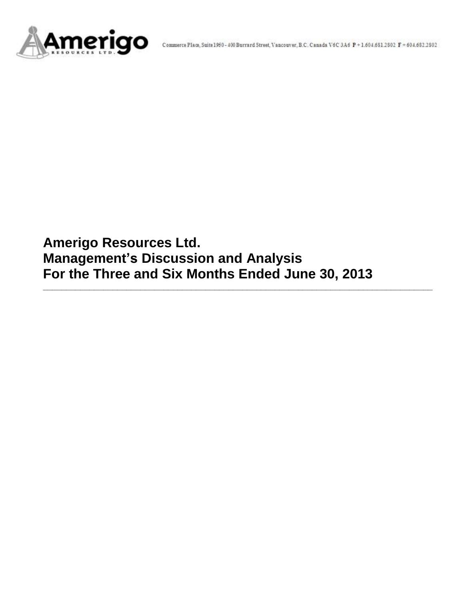

**Amerigo Resources Ltd. Management's Discussion and Analysis For the Three and Six Months Ended June 30, 2013**

**\_\_\_\_\_\_\_\_\_\_\_\_\_\_\_\_\_\_\_\_\_\_\_\_\_\_\_\_\_\_\_\_\_\_\_\_\_\_\_\_\_\_\_\_\_\_\_\_\_\_\_\_\_\_\_\_\_\_\_\_\_\_\_\_\_\_\_\_\_\_\_\_\_\_\_\_\_\_\_\_\_\_\_\_**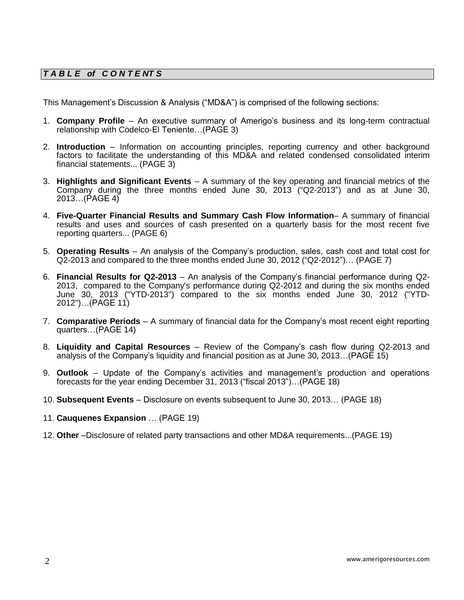# *T A B L E of C O N T E NT S*

This Management's Discussion & Analysis ("MD&A") is comprised of the following sections:

- 1. **Company Profile**  An executive summary of Amerigo's business and its long-term contractual relationship with Codelco-El Teniente…(PAGE 3)
- 2. **Introduction**  Information on accounting principles, reporting currency and other background factors to facilitate the understanding of this MD&A and related condensed consolidated interim financial statements... (PAGE 3)
- 3. **Highlights and Significant Events** A summary of the key operating and financial metrics of the Company during the three months ended June 30, 2013 ("Q2-2013") and as at June 30, 2013…(PAGE 4)
- 4. **Five-Quarter Financial Results and Summary Cash Flow Information** A summary of financial results and uses and sources of cash presented on a quarterly basis for the most recent five reporting quarters... (PAGE 6)
- 5. **Operating Results** An analysis of the Company's production, sales, cash cost and total cost for Q2-2013 and compared to the three months ended June 30, 2012 ("Q2-2012")… (PAGE 7)
- 6. **Financial Results for Q2-2013** An analysis of the Company's financial performance during Q2- 2013, compared to the Company's performance during Q2-2012 and during the six months ended June 30, 2013 ("YTD-2013") compared to the six months ended June 30, 2012 ("YTD-2012")…(PAGE 11)
- 7. **Comparative Periods** A summary of financial data for the Company's most recent eight reporting quarters…(PAGE 14)
- 8. **Liquidity and Capital Resources** Review of the Company's cash flow during Q2-2013 and analysis of the Company's liquidity and financial position as at June 30, 2013…(PAGE 15)
- 9. **Outlook** Update of the Company's activities and management's production and operations forecasts for the year ending December 31, 2013 ("fiscal 2013")…(PAGE 18)
- 10. **Subsequent Events** Disclosure on events subsequent to June 30, 2013… (PAGE 18)
- 11. **Cauquenes Expansion** … (PAGE 19)
- 12. **Other** –Disclosure of related party transactions and other MD&A requirements...(PAGE 19)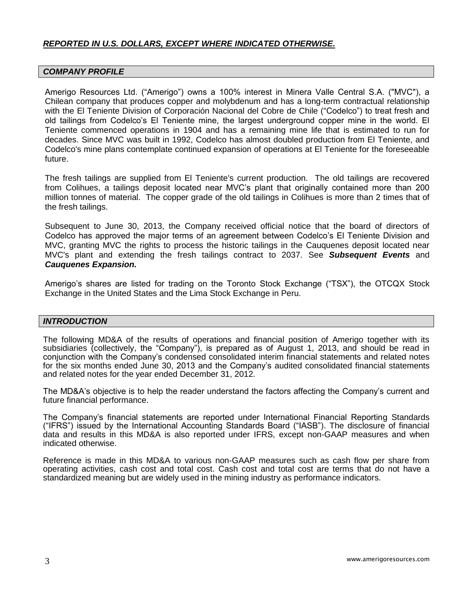### *REPORTED IN U.S. DOLLARS, EXCEPT WHERE INDICATED OTHERWISE.*

### *COMPANY PROFILE*

Amerigo Resources Ltd. ("Amerigo") owns a 100% interest in Minera Valle Central S.A. ("MVC"), a Chilean company that produces copper and molybdenum and has a long-term contractual relationship with the El Teniente Division of Corporación Nacional del Cobre de Chile ("Codelco") to treat fresh and old tailings from Codelco's El Teniente mine, the largest underground copper mine in the world. El Teniente commenced operations in 1904 and has a remaining mine life that is estimated to run for decades. Since MVC was built in 1992, Codelco has almost doubled production from El Teniente, and Codelco's mine plans contemplate continued expansion of operations at El Teniente for the foreseeable future.

The fresh tailings are supplied from El Teniente's current production. The old tailings are recovered from Colihues, a tailings deposit located near MVC's plant that originally contained more than 200 million tonnes of material. The copper grade of the old tailings in Colihues is more than 2 times that of the fresh tailings.

Subsequent to June 30, 2013, the Company received official notice that the board of directors of Codelco has approved the major terms of an agreement between Codelco's El Teniente Division and MVC, granting MVC the rights to process the historic tailings in the Cauquenes deposit located near MVC's plant and extending the fresh tailings contract to 2037. See *Subsequent Events* and *Cauquenes Expansion.*

Amerigo's shares are listed for trading on the Toronto Stock Exchange ("TSX"), the OTCQX Stock Exchange in the United States and the Lima Stock Exchange in Peru.

### *INTRODUCTION*

The following MD&A of the results of operations and financial position of Amerigo together with its subsidiaries (collectively, the "Company"), is prepared as of August 1, 2013, and should be read in conjunction with the Company's condensed consolidated interim financial statements and related notes for the six months ended June 30, 2013 and the Company's audited consolidated financial statements and related notes for the year ended December 31, 2012.

The MD&A's objective is to help the reader understand the factors affecting the Company's current and future financial performance.

The Company's financial statements are reported under International Financial Reporting Standards ("IFRS") issued by the International Accounting Standards Board ("IASB"). The disclosure of financial data and results in this MD&A is also reported under IFRS, except non-GAAP measures and when indicated otherwise.

Reference is made in this MD&A to various non-GAAP measures such as cash flow per share from operating activities, cash cost and total cost. Cash cost and total cost are terms that do not have a standardized meaning but are widely used in the mining industry as performance indicators.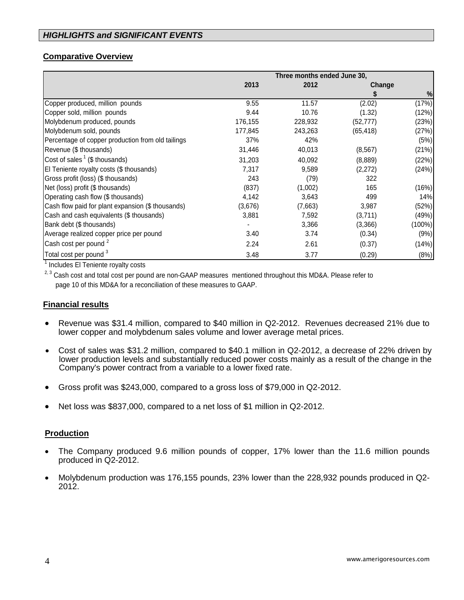## **Comparative Overview**

|                                                   | Three months ended June 30, |         |           |        |  |
|---------------------------------------------------|-----------------------------|---------|-----------|--------|--|
|                                                   | 2013                        | 2012    | Change    |        |  |
|                                                   |                             |         |           | %      |  |
| Copper produced, million pounds                   | 9.55                        | 11.57   | (2.02)    | (17%)  |  |
| Copper sold, million pounds                       | 9.44                        | 10.76   | (1.32)    | (12%)  |  |
| Molybdenum produced, pounds                       | 176,155                     | 228,932 | (52, 777) | (23%)  |  |
| Molybdenum sold, pounds                           | 177,845                     | 243,263 | (65, 418) | (27%)  |  |
| Percentage of copper production from old tailings | 37%                         | 42%     |           | (5%)   |  |
| Revenue (\$ thousands)                            | 31,446                      | 40,013  | (8, 567)  | (21%)  |  |
| Cost of sales $1$ (\$ thousands)                  | 31,203                      | 40,092  | (8,889)   | (22%)  |  |
| El Teniente royalty costs (\$ thousands)          | 7,317                       | 9,589   | (2,272)   | (24%)  |  |
| Gross profit (loss) (\$ thousands)                | 243                         | (79)    | 322       |        |  |
| Net (loss) profit (\$ thousands)                  | (837)                       | (1,002) | 165       | (16%)  |  |
| Operating cash flow (\$ thousands)                | 4,142                       | 3,643   | 499       | 14%    |  |
| Cash flow paid for plant expansion (\$ thousands) | (3,676)                     | (7,663) | 3,987     | (52%)  |  |
| Cash and cash equivalents (\$ thousands)          | 3,881                       | 7,592   | (3,711)   | (49%)  |  |
| Bank debt (\$ thousands)                          |                             | 3,366   | (3,366)   | (100%) |  |
| Average realized copper price per pound           | 3.40                        | 3.74    | (0.34)    | (9%)   |  |
| Cash cost per pound <sup>2</sup>                  | 2.24                        | 2.61    | (0.37)    | (14%)  |  |
| Total cost per pound <sup>3</sup>                 | 3.48                        | 3.77    | (0.29)    | (8%)   |  |

<sup>1</sup> Includes El Teniente royalty costs

<sup>2, 3</sup> Cash cost and total cost per pound are non-GAAP measures mentioned throughout this MD&A. Please refer to page 10 of this MD&A for a reconciliation of these measures to GAAP.

### **Financial results**

- Revenue was \$31.4 million, compared to \$40 million in Q2-2012. Revenues decreased 21% due to lower copper and molybdenum sales volume and lower average metal prices.
- Cost of sales was \$31.2 million, compared to \$40.1 million in Q2-2012, a decrease of 22% driven by lower production levels and substantially reduced power costs mainly as a result of the change in the Company's power contract from a variable to a lower fixed rate.
- Gross profit was \$243,000, compared to a gross loss of \$79,000 in Q2-2012.
- Net loss was \$837,000, compared to a net loss of \$1 million in Q2-2012.

### **Production**

- The Company produced 9.6 million pounds of copper, 17% lower than the 11.6 million pounds produced in Q2-2012.
- Molybdenum production was 176,155 pounds, 23% lower than the 228,932 pounds produced in Q2- 2012.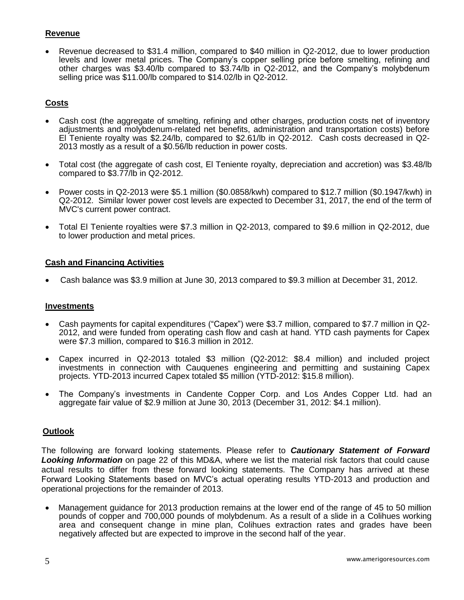### **Revenue**

 Revenue decreased to \$31.4 million, compared to \$40 million in Q2-2012, due to lower production levels and lower metal prices. The Company's copper selling price before smelting, refining and other charges was \$3.40/lb compared to \$3.74/lb in Q2-2012, and the Company's molybdenum selling price was \$11.00/lb compared to \$14.02/lb in Q2-2012.

## **Costs**

- Cash cost (the aggregate of smelting, refining and other charges, production costs net of inventory adjustments and molybdenum-related net benefits, administration and transportation costs) before El Teniente royalty was \$2.24/lb, compared to \$2.61/lb in Q2-2012. Cash costs decreased in Q2- 2013 mostly as a result of a \$0.56/lb reduction in power costs.
- Total cost (the aggregate of cash cost, El Teniente royalty, depreciation and accretion) was \$3.48/lb compared to \$3.77/lb in Q2-2012.
- Power costs in Q2-2013 were \$5.1 million (\$0.0858/kwh) compared to \$12.7 million (\$0.1947/kwh) in Q2-2012. Similar lower power cost levels are expected to December 31, 2017, the end of the term of MVC's current power contract.
- Total El Teniente royalties were \$7.3 million in Q2-2013, compared to \$9.6 million in Q2-2012, due to lower production and metal prices.

### **Cash and Financing Activities**

Cash balance was \$3.9 million at June 30, 2013 compared to \$9.3 million at December 31, 2012.

### **Investments**

- Cash payments for capital expenditures ("Capex") were \$3.7 million, compared to \$7.7 million in Q2- 2012, and were funded from operating cash flow and cash at hand. YTD cash payments for Capex were \$7.3 million, compared to \$16.3 million in 2012.
- Capex incurred in Q2-2013 totaled \$3 million (Q2-2012: \$8.4 million) and included project investments in connection with Cauquenes engineering and permitting and sustaining Capex projects. YTD-2013 incurred Capex totaled \$5 million (YTD-2012: \$15.8 million).
- The Company's investments in Candente Copper Corp. and Los Andes Copper Ltd. had an aggregate fair value of \$2.9 million at June 30, 2013 (December 31, 2012: \$4.1 million).

### **Outlook**

The following are forward looking statements. Please refer to *Cautionary Statement of Forward Looking Information* on page 22 of this MD&A, where we list the material risk factors that could cause actual results to differ from these forward looking statements. The Company has arrived at these Forward Looking Statements based on MVC's actual operating results YTD-2013 and production and operational projections for the remainder of 2013.

 Management guidance for 2013 production remains at the lower end of the range of 45 to 50 million pounds of copper and 700,000 pounds of molybdenum. As a result of a slide in a Colihues working area and consequent change in mine plan, Colihues extraction rates and grades have been negatively affected but are expected to improve in the second half of the year.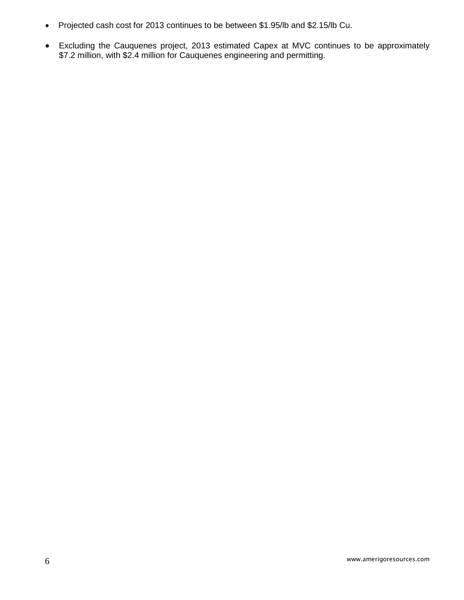- Projected cash cost for 2013 continues to be between \$1.95/lb and \$2.15/lb Cu.
- Excluding the Cauquenes project, 2013 estimated Capex at MVC continues to be approximately \$7.2 million, with \$2.4 million for Cauquenes engineering and permitting.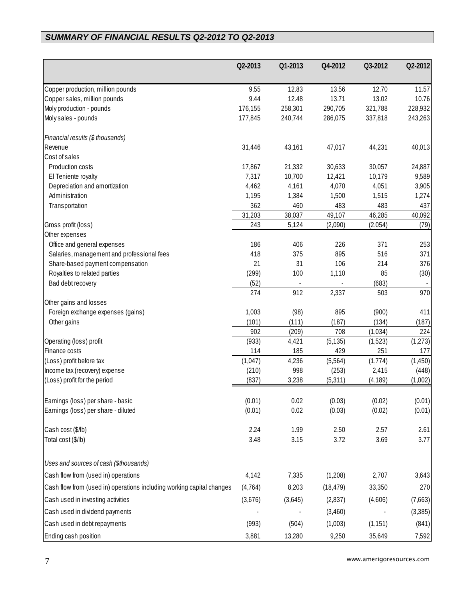# *SUMMARY OF FINANCIAL RESULTS Q2-2012 TO Q2-2013*

|                                                                       | Q2-2013       | Q1-2013 | Q4-2012   | Q3-2012     | Q2-2012 |
|-----------------------------------------------------------------------|---------------|---------|-----------|-------------|---------|
| Copper production, million pounds                                     | 9.55          | 12.83   | 13.56     | 12.70       | 11.57   |
| Copper sales, million pounds                                          | 9.44          | 12.48   | 13.71     | 13.02       | 10.76   |
| Moly production - pounds                                              | 176,155       | 258,301 | 290,705   | 321,788     | 228,932 |
| Moly sales - pounds                                                   | 177,845       | 240,744 | 286,075   | 337,818     | 243,263 |
| Financial results (\$ thousands)                                      |               |         |           |             |         |
| Revenue                                                               | 31,446        | 43,161  | 47,017    | 44,231      | 40,013  |
| Cost of sales                                                         |               |         |           |             |         |
| Production costs                                                      | 17,867        | 21,332  | 30,633    | 30,057      | 24,887  |
| El Teniente royalty                                                   | 7,317         | 10,700  | 12,421    | 10,179      | 9,589   |
| Depreciation and amortization                                         | 4,462         | 4,161   | 4,070     | 4,051       | 3,905   |
| Administration                                                        | 1,195         | 1,384   | 1,500     | 1,515       | 1,274   |
| Transportation                                                        | 362           | 460     | 483       | 483         | 437     |
|                                                                       | 31,203        | 38,037  | 49,107    | 46,285      | 40,092  |
| Gross profit (loss)                                                   | 243           | 5,124   | (2,090)   | (2,054)     | (79)    |
| Other expenses                                                        |               |         |           |             |         |
| Office and general expenses                                           | 186           | 406     | 226       | 371         | 253     |
| Salaries, management and professional fees                            | 418           | 375     | 895       | 516         | 371     |
| Share-based payment compensation                                      | 21            | 31      | 106       | 214         | 376     |
| Royalties to related parties<br>Bad debt recovery                     | (299)<br>(52) | 100     | 1,110     | 85<br>(683) | (30)    |
|                                                                       | 274           | 912     | 2,337     | 503         | 970     |
| Other gains and losses                                                |               |         |           |             |         |
| Foreign exchange expenses (gains)                                     | 1,003         | (98)    | 895       | (900)       | 411     |
| Other gains                                                           | (101)         | (111)   | (187)     | (134)       | (187)   |
|                                                                       | 902           | (209)   | 708       | (1,034)     | 224     |
| Operating (loss) profit                                               | (933)         | 4,421   | (5, 135)  | (1,523)     | (1,273) |
| Finance costs                                                         | 114           | 185     | 429       | 251         | 177     |
| (Loss) profit before tax                                              | (1,047)       | 4,236   | (5, 564)  | (1,774)     | (1,450) |
| Income tax (recovery) expense                                         | (210)         | 998     | (253)     | 2,415       | (448)   |
| (Loss) profit for the period                                          | (837)         | 3,238   | (5,311)   | (4, 189)    | (1,002) |
| Earnings (loss) per share - basic                                     | (0.01)        | 0.02    | (0.03)    | (0.02)      | (0.01)  |
| Earnings (loss) per share - diluted                                   | (0.01)        | 0.02    | (0.03)    | (0.02)      | (0.01)  |
| Cash cost (\$/lb)                                                     | 2.24          | 1.99    | 2.50      | 2.57        | 2.61    |
| Total cost (\$/lb)                                                    | 3.48          | 3.15    | 3.72      | 3.69        | 3.77    |
| Uses and sources of cash (\$thousands)                                |               |         |           |             |         |
| Cash flow from (used in) operations                                   | 4,142         | 7,335   | (1,208)   | 2,707       | 3,643   |
|                                                                       |               |         |           |             |         |
| Cash flow from (used in) operations including working capital changes | (4, 764)      | 8,203   | (18, 479) | 33,350      | 270     |
| Cash used in investing activities                                     | (3,676)       | (3,645) | (2,837)   | (4,606)     | (7,663) |
| Cash used in dividend payments                                        |               |         | (3,460)   |             | (3,385) |
| Cash used in debt repayments                                          | (993)         | (504)   | (1,003)   | (1, 151)    | (841)   |
| Ending cash position                                                  | 3,881         | 13,280  | 9,250     | 35,649      | 7,592   |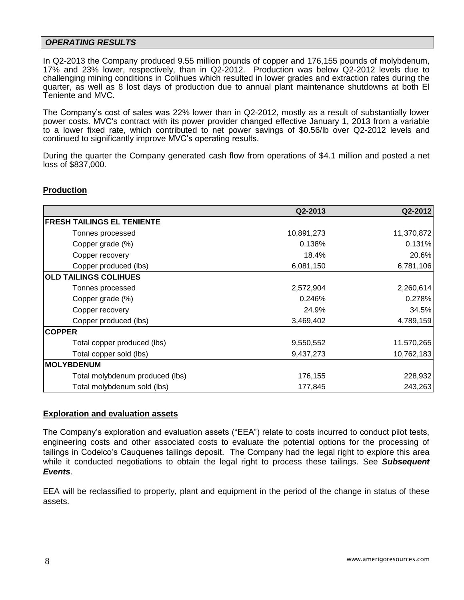### *OPERATING RESULTS*

In Q2-2013 the Company produced 9.55 million pounds of copper and 176,155 pounds of molybdenum, 17% and 23% lower, respectively, than in Q2-2012. Production was below Q2-2012 levels due to challenging mining conditions in Colihues which resulted in lower grades and extraction rates during the quarter, as well as 8 lost days of production due to annual plant maintenance shutdowns at both El Teniente and MVC.

The Company's cost of sales was 22% lower than in Q2-2012, mostly as a result of substantially lower power costs. MVC's contract with its power provider changed effective January 1, 2013 from a variable to a lower fixed rate, which contributed to net power savings of \$0.56/lb over Q2-2012 levels and continued to significantly improve MVC's operating results.

During the quarter the Company generated cash flow from operations of \$4.1 million and posted a net loss of \$837,000.

### **Production**

|                                   | Q2-2013    | Q2-2012    |
|-----------------------------------|------------|------------|
| <b>FRESH TAILINGS EL TENIENTE</b> |            |            |
| Tonnes processed                  | 10,891,273 | 11,370,872 |
| Copper grade (%)                  | 0.138%     | 0.131%     |
| Copper recovery                   | 18.4%      | 20.6%      |
| Copper produced (lbs)             | 6,081,150  | 6,781,106  |
| <b>OLD TAILINGS COLIHUES</b>      |            |            |
| Tonnes processed                  | 2,572,904  | 2,260,614  |
| Copper grade (%)                  | 0.246%     | 0.278%     |
| Copper recovery                   | 24.9%      | 34.5%      |
| Copper produced (lbs)             | 3,469,402  | 4,789,159  |
| <b>COPPER</b>                     |            |            |
| Total copper produced (lbs)       | 9,550,552  | 11,570,265 |
| Total copper sold (lbs)           | 9,437,273  | 10,762,183 |
| <b>IMOLYBDENUM</b>                |            |            |
| Total molybdenum produced (lbs)   | 176,155    | 228,932    |
| Total molybdenum sold (lbs)       | 177,845    | 243,263    |

### **Exploration and evaluation assets**

The Company's exploration and evaluation assets ("EEA") relate to costs incurred to conduct pilot tests, engineering costs and other associated costs to evaluate the potential options for the processing of tailings in Codelco's Cauquenes tailings deposit. The Company had the legal right to explore this area while it conducted negotiations to obtain the legal right to process these tailings. See *Subsequent Events*.

EEA will be reclassified to property, plant and equipment in the period of the change in status of these assets.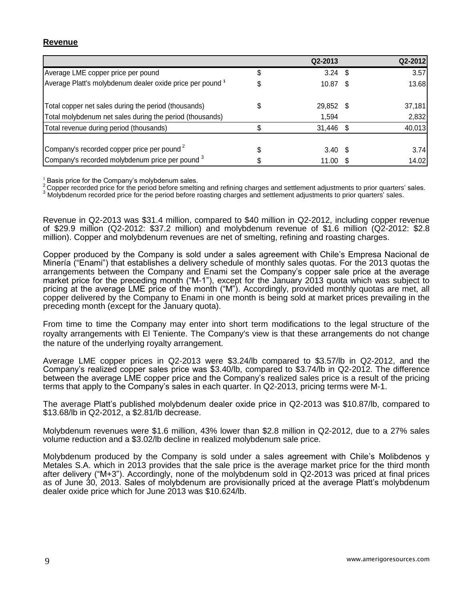### **Revenue**

|                                                           |   | Q2-2013           | Q2-2012 |
|-----------------------------------------------------------|---|-------------------|---------|
| Average LME copper price per pound                        | S | $3.24$ \$         | 3.57    |
| Average Platt's molybdenum dealer oxide price per pound 1 |   | $10.87$ \$        | 13.68   |
| Total copper net sales during the period (thousands)      |   | 29,852 \$         | 37,181  |
| Total molybdenum net sales during the period (thousands)  |   | 1,594             | 2,832   |
| Total revenue during period (thousands)                   |   | 31,446 \$         | 40,013  |
| Company's recorded copper price per pound <sup>2</sup>    |   | $3.40 \text{ } $$ | 3.74    |
| Company's recorded molybdenum price per pound 3           |   | 11.00             | 14.02   |

 $<sup>1</sup>$  Basis price for the Company's molybdenum sales.</sup>

<sup>2</sup> Copper recorded price for the period before smelting and refining charges and settlement adjustments to prior quarters' sales.

3 Molybdenum recorded price for the period before roasting charges and settlement adjustments to prior quarters' sales.

Revenue in Q2-2013 was \$31.4 million, compared to \$40 million in Q2-2012, including copper revenue of \$29.9 million (Q2-2012: \$37.2 million) and molybdenum revenue of \$1.6 million (Q2-2012: \$2.8 million). Copper and molybdenum revenues are net of smelting, refining and roasting charges.

Copper produced by the Company is sold under a sales agreement with Chile's Empresa Nacional de Minería ("Enami") that establishes a delivery schedule of monthly sales quotas. For the 2013 quotas the arrangements between the Company and Enami set the Company's copper sale price at the average market price for the preceding month ("M-1"), except for the January 2013 quota which was subject to pricing at the average LME price of the month ("M"). Accordingly, provided monthly quotas are met, all copper delivered by the Company to Enami in one month is being sold at market prices prevailing in the preceding month (except for the January quota).

From time to time the Company may enter into short term modifications to the legal structure of the royalty arrangements with El Teniente. The Company's view is that these arrangements do not change the nature of the underlying royalty arrangement.

Average LME copper prices in Q2-2013 were \$3.24/lb compared to \$3.57/lb in Q2-2012, and the Company's realized copper sales price was \$3.40/lb, compared to \$3.74/lb in Q2-2012. The difference between the average LME copper price and the Company's realized sales price is a result of the pricing terms that apply to the Company's sales in each quarter. In Q2-2013, pricing terms were M-1.

The average Platt's published molybdenum dealer oxide price in Q2-2013 was \$10.87/lb, compared to \$13.68/lb in Q2-2012, a \$2.81/lb decrease.

Molybdenum revenues were \$1.6 million, 43% lower than \$2.8 million in Q2-2012, due to a 27% sales volume reduction and a \$3.02/lb decline in realized molybdenum sale price.

Molybdenum produced by the Company is sold under a sales agreement with Chile's Molibdenos y Metales S.A. which in 2013 provides that the sale price is the average market price for the third month after delivery ("M+3"). Accordingly, none of the molybdenum sold in Q2-2013 was priced at final prices as of June 30, 2013. Sales of molybdenum are provisionally priced at the average Platt's molybdenum dealer oxide price which for June 2013 was \$10.624/lb.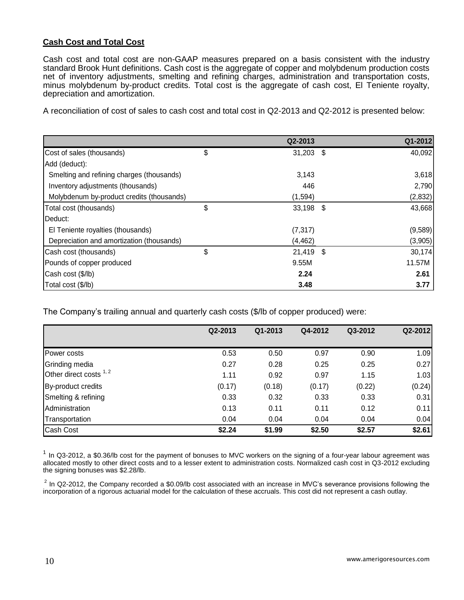### **Cash Cost and Total Cost**

Cash cost and total cost are non-GAAP measures prepared on a basis consistent with the industry standard Brook Hunt definitions. Cash cost is the aggregate of copper and molybdenum production costs net of inventory adjustments, smelting and refining charges, administration and transportation costs, minus molybdenum by-product credits. Total cost is the aggregate of cash cost, El Teniente royalty, depreciation and amortization.

A reconciliation of cost of sales to cash cost and total cost in Q2-2013 and Q2-2012 is presented below:

|                                           | Q2-2013           | Q1-2012 |
|-------------------------------------------|-------------------|---------|
| Cost of sales (thousands)                 | \$<br>$31,203$ \$ | 40,092  |
| Add (deduct):                             |                   |         |
| Smelting and refining charges (thousands) | 3,143             | 3,618   |
| Inventory adjustments (thousands)         | 446               | 2,790   |
| Molybdenum by-product credits (thousands) | (1, 594)          | (2,832) |
| Total cost (thousands)                    | \$<br>33,198 \$   | 43,668  |
| Deduct:                                   |                   |         |
| El Teniente royalties (thousands)         | (7, 317)          | (9,589) |
| Depreciation and amortization (thousands) | (4, 462)          | (3,905) |
| Cash cost (thousands)                     | \$<br>$21,419$ \$ | 30,174  |
| Pounds of copper produced                 | 9.55M             | 11.57M  |
| Cash cost (\$/lb)                         | 2.24              | 2.61    |
| Total cost (\$/lb)                        | 3.48              | 3.77    |

The Company's trailing annual and quarterly cash costs (\$/lb of copper produced) were:

|                         | Q2-2013 | Q1-2013 | Q4-2012 | Q3-2012 | Q2-2012 |
|-------------------------|---------|---------|---------|---------|---------|
| Power costs             | 0.53    | 0.50    | 0.97    | 0.90    | 1.09    |
| Grinding media          | 0.27    | 0.28    | 0.25    | 0.25    | 0.27    |
| Other direct costs 1, 2 | 1.11    | 0.92    | 0.97    | 1.15    | 1.03    |
| By-product credits      | (0.17)  | (0.18)  | (0.17)  | (0.22)  | (0.24)  |
| Smelting & refining     | 0.33    | 0.32    | 0.33    | 0.33    | 0.31    |
| Administration          | 0.13    | 0.11    | 0.11    | 0.12    | 0.11    |
| Transportation          | 0.04    | 0.04    | 0.04    | 0.04    | 0.04    |
| Cash Cost               | \$2.24  | \$1.99  | \$2.50  | \$2.57  | \$2.61  |

 $1$  In Q3-2012, a \$0.36/lb cost for the payment of bonuses to MVC workers on the signing of a four-year labour agreement was allocated mostly to other direct costs and to a lesser extent to administration costs. Normalized cash cost in Q3-2012 excluding the signing bonuses was \$2.28/lb.

 $^2$  In Q2-2012, the Company recorded a \$0.09/lb cost associated with an increase in MVC's severance provisions following the incorporation of a rigorous actuarial model for the calculation of these accruals. This cost did not represent a cash outlay.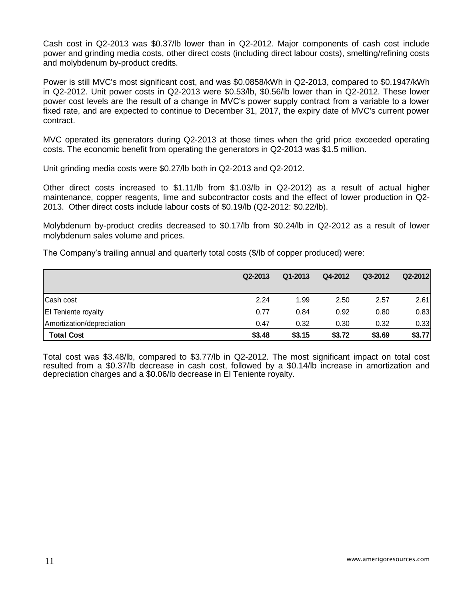Cash cost in Q2-2013 was \$0.37/lb lower than in Q2-2012. Major components of cash cost include power and grinding media costs, other direct costs (including direct labour costs), smelting/refining costs and molybdenum by-product credits.

Power is still MVC's most significant cost, and was \$0.0858/kWh in Q2-2013, compared to \$0.1947/kWh in Q2-2012. Unit power costs in Q2-2013 were \$0.53/lb, \$0.56/lb lower than in Q2-2012. These lower power cost levels are the result of a change in MVC's power supply contract from a variable to a lower fixed rate, and are expected to continue to December 31, 2017, the expiry date of MVC's current power contract.

MVC operated its generators during Q2-2013 at those times when the grid price exceeded operating costs. The economic benefit from operating the generators in Q2-2013 was \$1.5 million.

Unit grinding media costs were \$0.27/lb both in Q2-2013 and Q2-2012.

Other direct costs increased to \$1.11/lb from \$1.03/lb in Q2-2012) as a result of actual higher maintenance, copper reagents, lime and subcontractor costs and the effect of lower production in Q2- 2013. Other direct costs include labour costs of \$0.19/lb (Q2-2012: \$0.22/lb).

Molybdenum by-product credits decreased to \$0.17/lb from \$0.24/lb in Q2-2012 as a result of lower molybdenum sales volume and prices.

The Company's trailing annual and quarterly total costs (\$/lb of copper produced) were:

|                            | Q2-2013 | Q1-2013 | Q4-2012 | Q3-2012 | Q2-2012 |
|----------------------------|---------|---------|---------|---------|---------|
|                            |         |         |         |         |         |
| Cash cost                  | 2.24    | 1.99    | 2.50    | 2.57    | 2.61    |
| <b>El Teniente royalty</b> | 0.77    | 0.84    | 0.92    | 0.80    | 0.83    |
| Amortization/depreciation  | 0.47    | 0.32    | 0.30    | 0.32    | 0.33    |
| <b>Total Cost</b>          | \$3.48  | \$3.15  | \$3.72  | \$3.69  | \$3.77  |

Total cost was \$3.48/lb, compared to \$3.77/lb in Q2-2012. The most significant impact on total cost resulted from a \$0.37/lb decrease in cash cost, followed by a \$0.14/lb increase in amortization and depreciation charges and a \$0.06/lb decrease in El Teniente royalty.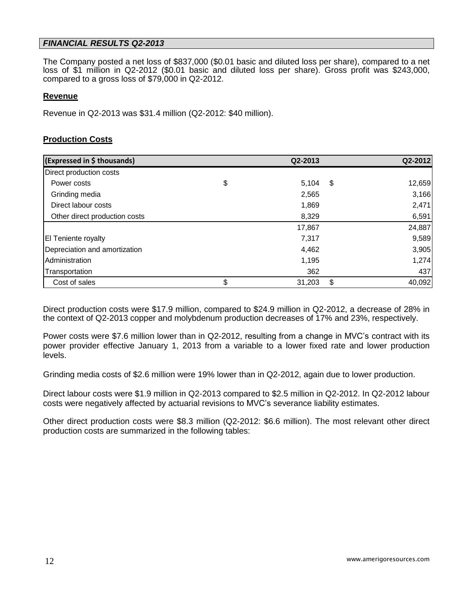### *FINANCIAL RESULTS Q2-2013*

The Company posted a net loss of \$837,000 (\$0.01 basic and diluted loss per share), compared to a net loss of \$1 million in Q2-2012 (\$0.01 basic and diluted loss per share). Gross profit was \$243,000, compared to a gross loss of \$79,000 in Q2-2012.

### **Revenue**

Revenue in Q2-2013 was \$31.4 million (Q2-2012: \$40 million).

### **Production Costs**

| (Expressed in \$ thousands)   | Q2-2013      | Q2-2012      |
|-------------------------------|--------------|--------------|
| Direct production costs       |              |              |
| Power costs                   | \$<br>5,104  | \$<br>12,659 |
| Grinding media                | 2,565        | 3,166        |
| Direct labour costs           | 1,869        | 2,471        |
| Other direct production costs | 8,329        | 6,591        |
|                               | 17,867       | 24,887       |
| <b>El Teniente royalty</b>    | 7,317        | 9,589        |
| Depreciation and amortization | 4,462        | 3,905        |
| Administration                | 1,195        | 1,274        |
| Transportation                | 362          | 437          |
| Cost of sales                 | \$<br>31,203 | \$<br>40,092 |

Direct production costs were \$17.9 million, compared to \$24.9 million in Q2-2012, a decrease of 28% in the context of Q2-2013 copper and molybdenum production decreases of 17% and 23%, respectively.

Power costs were \$7.6 million lower than in Q2-2012, resulting from a change in MVC's contract with its power provider effective January 1, 2013 from a variable to a lower fixed rate and lower production levels.

Grinding media costs of \$2.6 million were 19% lower than in Q2-2012, again due to lower production.

Direct labour costs were \$1.9 million in Q2-2013 compared to \$2.5 million in Q2-2012. In Q2-2012 labour costs were negatively affected by actuarial revisions to MVC's severance liability estimates.

Other direct production costs were \$8.3 million (Q2-2012: \$6.6 million). The most relevant other direct production costs are summarized in the following tables: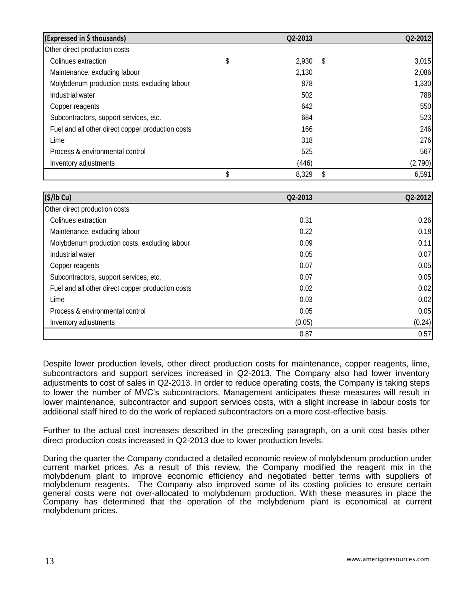| (Expressed in \$ thousands)                       | Q2-2013     |     | Q2-2012 |
|---------------------------------------------------|-------------|-----|---------|
| Other direct production costs                     |             |     |         |
| Colihues extraction                               | \$<br>2,930 | -\$ | 3,015   |
| Maintenance, excluding labour                     | 2,130       |     | 2,086   |
| Molybdenum production costs, excluding labour     | 878         |     | 1,330   |
| Industrial water                                  | 502         |     | 788     |
| Copper reagents                                   | 642         |     | 550     |
| Subcontractors, support services, etc.            | 684         |     | 523     |
| Fuel and all other direct copper production costs | 166         |     | 246     |
| Lime                                              | 318         |     | 276     |
| Process & environmental control                   | 525         |     | 567     |
| Inventory adjustments                             | (446)       |     | (2,790) |
|                                                   | \$<br>8,329 | \$  | 6,591   |

| (S/lb Cu)                                         | Q2-2013 | Q2-2012 |
|---------------------------------------------------|---------|---------|
| Other direct production costs                     |         |         |
| Colihues extraction                               | 0.31    | 0.26    |
| Maintenance, excluding labour                     | 0.22    | 0.18    |
| Molybdenum production costs, excluding labour     | 0.09    | 0.11    |
| Industrial water                                  | 0.05    | 0.07    |
| Copper reagents                                   | 0.07    | 0.05    |
| Subcontractors, support services, etc.            | 0.07    | 0.05    |
| Fuel and all other direct copper production costs | 0.02    | 0.02    |
| Lime                                              | 0.03    | 0.02    |
| Process & environmental control                   | 0.05    | 0.05    |
| Inventory adjustments                             | (0.05)  | (0.24)  |
|                                                   | 0.87    | 0.57    |

Despite lower production levels, other direct production costs for maintenance, copper reagents, lime, subcontractors and support services increased in Q2-2013. The Company also had lower inventory adjustments to cost of sales in Q2-2013. In order to reduce operating costs, the Company is taking steps to lower the number of MVC's subcontractors. Management anticipates these measures will result in lower maintenance, subcontractor and support services costs, with a slight increase in labour costs for additional staff hired to do the work of replaced subcontractors on a more cost-effective basis.

Further to the actual cost increases described in the preceding paragraph, on a unit cost basis other direct production costs increased in Q2-2013 due to lower production levels.

During the quarter the Company conducted a detailed economic review of molybdenum production under current market prices. As a result of this review, the Company modified the reagent mix in the molybdenum plant to improve economic efficiency and negotiated better terms with suppliers of molybdenum reagents. The Company also improved some of its costing policies to ensure certain general costs were not over-allocated to molybdenum production. With these measures in place the Company has determined that the operation of the molybdenum plant is economical at current molybdenum prices.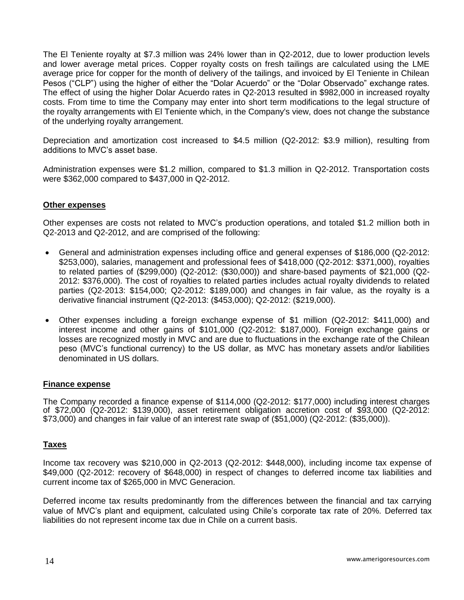The El Teniente royalty at \$7.3 million was 24% lower than in Q2-2012, due to lower production levels and lower average metal prices. Copper royalty costs on fresh tailings are calculated using the LME average price for copper for the month of delivery of the tailings, and invoiced by El Teniente in Chilean Pesos ("CLP") using the higher of either the "Dolar Acuerdo" or the "Dolar Observado" exchange rates. The effect of using the higher Dolar Acuerdo rates in Q2-2013 resulted in \$982,000 in increased royalty costs. From time to time the Company may enter into short term modifications to the legal structure of the royalty arrangements with El Teniente which, in the Company's view, does not change the substance of the underlying royalty arrangement.

Depreciation and amortization cost increased to \$4.5 million (Q2-2012: \$3.9 million), resulting from additions to MVC's asset base.

Administration expenses were \$1.2 million, compared to \$1.3 million in Q2-2012. Transportation costs were \$362,000 compared to \$437,000 in Q2-2012.

### **Other expenses**

Other expenses are costs not related to MVC's production operations, and totaled \$1.2 million both in Q2-2013 and Q2-2012, and are comprised of the following:

- General and administration expenses including office and general expenses of \$186,000 (Q2-2012: \$253,000), salaries, management and professional fees of \$418,000 (Q2-2012: \$371,000), royalties to related parties of (\$299,000) (Q2-2012: (\$30,000)) and share-based payments of \$21,000 (Q2- 2012: \$376,000). The cost of royalties to related parties includes actual royalty dividends to related parties (Q2-2013: \$154,000; Q2-2012: \$189,000) and changes in fair value, as the royalty is a derivative financial instrument (Q2-2013: (\$453,000); Q2-2012: (\$219,000).
- Other expenses including a foreign exchange expense of \$1 million (Q2-2012: \$411,000) and interest income and other gains of \$101,000 (Q2-2012: \$187,000). Foreign exchange gains or losses are recognized mostly in MVC and are due to fluctuations in the exchange rate of the Chilean peso (MVC's functional currency) to the US dollar, as MVC has monetary assets and/or liabilities denominated in US dollars.

### **Finance expense**

The Company recorded a finance expense of \$114,000 (Q2-2012: \$177,000) including interest charges of \$72,000 (Q2-2012: \$139,000), asset retirement obligation accretion cost of \$93,000 (Q2-2012: \$73,000) and changes in fair value of an interest rate swap of (\$51,000) (Q2-2012: (\$35,000)).

### **Taxes**

Income tax recovery was \$210,000 in Q2-2013 (Q2-2012: \$448,000), including income tax expense of \$49,000 (Q2-2012: recovery of \$648,000) in respect of changes to deferred income tax liabilities and current income tax of \$265,000 in MVC Generacion.

Deferred income tax results predominantly from the differences between the financial and tax carrying value of MVC's plant and equipment, calculated using Chile's corporate tax rate of 20%. Deferred tax liabilities do not represent income tax due in Chile on a current basis.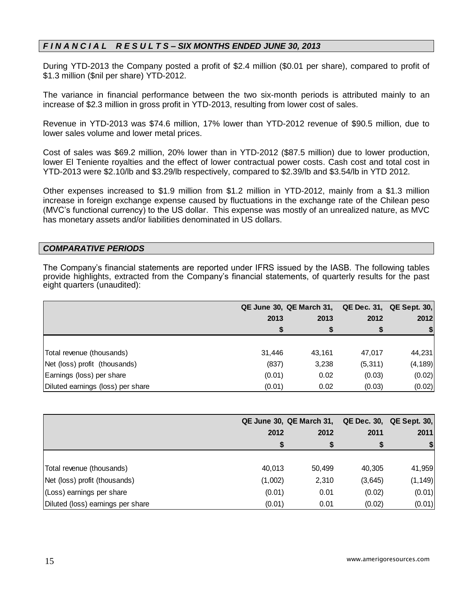## *F I N A N C I A L R E S U L T S – SIX MONTHS ENDED JUNE 30, 2013*

During YTD-2013 the Company posted a profit of \$2.4 million (\$0.01 per share), compared to profit of \$1.3 million (\$nil per share) YTD-2012.

The variance in financial performance between the two six-month periods is attributed mainly to an increase of \$2.3 million in gross profit in YTD-2013, resulting from lower cost of sales.

Revenue in YTD-2013 was \$74.6 million, 17% lower than YTD-2012 revenue of \$90.5 million, due to lower sales volume and lower metal prices.

Cost of sales was \$69.2 million, 20% lower than in YTD-2012 (\$87.5 million) due to lower production, lower El Teniente royalties and the effect of lower contractual power costs. Cash cost and total cost in YTD-2013 were \$2.10/lb and \$3.29/lb respectively, compared to \$2.39/lb and \$3.54/lb in YTD 2012.

Other expenses increased to \$1.9 million from \$1.2 million in YTD-2012, mainly from a \$1.3 million increase in foreign exchange expense caused by fluctuations in the exchange rate of the Chilean peso (MVC's functional currency) to the US dollar. This expense was mostly of an unrealized nature, as MVC has monetary assets and/or liabilities denominated in US dollars.

### *COMPARATIVE PERIODS*

The Company's financial statements are reported under IFRS issued by the IASB. The following tables provide highlights, extracted from the Company's financial statements, of quarterly results for the past eight quarters (unaudited):

|                                   | QE June 30, QE March 31, QE Dec. 31, QE Sept. 30, |        |          |          |
|-----------------------------------|---------------------------------------------------|--------|----------|----------|
|                                   | 2013                                              | 2013   | 2012     | 2012     |
|                                   |                                                   | S      | S        | -SI      |
|                                   |                                                   |        |          |          |
| Total revenue (thousands)         | 31,446                                            | 43.161 | 47,017   | 44,231   |
| Net (loss) profit (thousands)     | (837)                                             | 3,238  | (5, 311) | (4, 189) |
| Earnings (loss) per share         | (0.01)                                            | 0.02   | (0.03)   | (0.02)   |
| Diluted earnings (loss) per share | (0.01)                                            | 0.02   | (0.03)   | (0.02)   |

|                                   |         | QE June 30, QE March 31, QE Dec. 30, QE Sept. 30, |         |          |  |
|-----------------------------------|---------|---------------------------------------------------|---------|----------|--|
|                                   | 2012    | 2012                                              | 2011    | 2011     |  |
|                                   |         |                                                   | S       | \$I      |  |
|                                   |         |                                                   |         |          |  |
| Total revenue (thousands)         | 40,013  | 50,499                                            | 40,305  | 41,959   |  |
| Net (loss) profit (thousands)     | (1,002) | 2,310                                             | (3,645) | (1, 149) |  |
| (Loss) earnings per share         | (0.01)  | 0.01                                              | (0.02)  | (0.01)   |  |
| Diluted (loss) earnings per share | (0.01)  | 0.01                                              | (0.02)  | (0.01)   |  |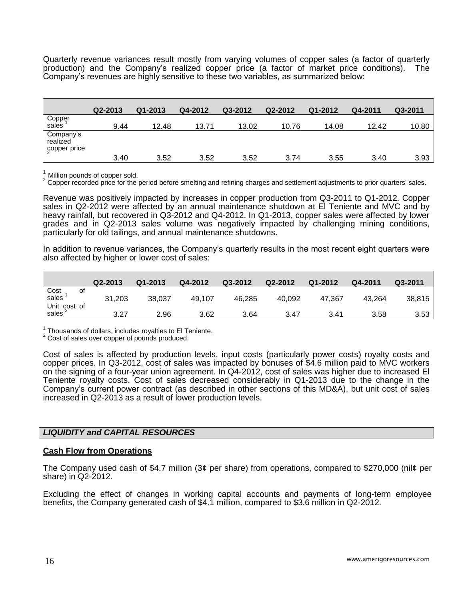Quarterly revenue variances result mostly from varying volumes of copper sales (a factor of quarterly production) and the Company's realized copper price (a factor of market price conditions). The Company's revenues are highly sensitive to these two variables, as summarized below:

|                                       | Q2-2013 | $Q1 - 2013$ | Q4-2012 | Q3-2012 | Q2-2012 | Q1-2012 | Q4-2011 | Q3-2011 |
|---------------------------------------|---------|-------------|---------|---------|---------|---------|---------|---------|
| Copper<br>sales <sup>1</sup>          | 9.44    | 12.48       | 13.71   | 13.02   | 10.76   | 14.08   | 12.42   | 10.80   |
| Company's<br>realized<br>çopper price |         |             |         |         |         |         |         |         |
|                                       | 3.40    | 3.52        | 3.52    | 3.52    | 3.74    | 3.55    | 3.40    | 3.93    |

 $1$  Million pounds of copper sold.

<sup>2</sup> Copper recorded price for the period before smelting and refining charges and settlement adjustments to prior quarters' sales.

Revenue was positively impacted by increases in copper production from Q3-2011 to Q1-2012. Copper sales in Q2-2012 were affected by an annual maintenance shutdown at El Teniente and MVC and by heavy rainfall, but recovered in Q3-2012 and Q4-2012. In Q1-2013, copper sales were affected by lower grades and in Q2-2013 sales volume was negatively impacted by challenging mining conditions, particularly for old tailings, and annual maintenance shutdowns.

In addition to revenue variances, the Company's quarterly results in the most recent eight quarters were also affected by higher or lower cost of sales:

|                                           | Q2-2013 | $Q1 - 2013$ | Q4-2012 | Q3-2012 | Q2-2012 | Q1-2012 | Q4-2011 | Q3-2011 |
|-------------------------------------------|---------|-------------|---------|---------|---------|---------|---------|---------|
| Cost<br>sales<br>οt                       | 31,203  | 38,037      | 49,107  | 46,285  | 40,092  | 47,367  | 43.264  | 38,815  |
| Unit cost of<br>$\int$ sales <sup>2</sup> | 3.27    | 2.96        | 3.62    | 3.64    | 3.47    | 3.41    | 3.58    | 3.53    |

 $\frac{1}{6}$  Thousands of dollars, includes royalties to El Teniente.

<sup>2</sup> Cost of sales over copper of pounds produced.

Cost of sales is affected by production levels, input costs (particularly power costs) royalty costs and copper prices. In Q3-2012, cost of sales was impacted by bonuses of \$4.6 million paid to MVC workers on the signing of a four-year union agreement. In Q4-2012, cost of sales was higher due to increased El Teniente royalty costs. Cost of sales decreased considerably in Q1-2013 due to the change in the Company's current power contract (as described in other sections of this MD&A), but unit cost of sales increased in Q2-2013 as a result of lower production levels.

### *LIQUIDITY and CAPITAL RESOURCES*

#### **Cash Flow from Operations**

The Company used cash of \$4.7 million (3¢ per share) from operations, compared to \$270,000 (nil¢ per share) in Q2-2012.

Excluding the effect of changes in working capital accounts and payments of long-term employee benefits, the Company generated cash of \$4.1 million, compared to \$3.6 million in Q2-2012.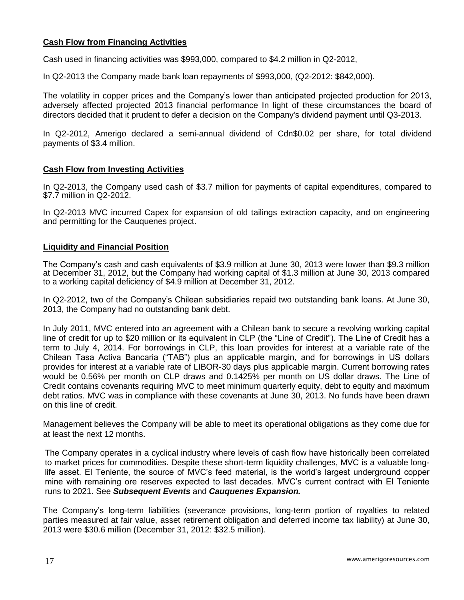### **Cash Flow from Financing Activities**

Cash used in financing activities was \$993,000, compared to \$4.2 million in Q2-2012,

In Q2-2013 the Company made bank loan repayments of \$993,000, (Q2-2012: \$842,000).

The volatility in copper prices and the Company's lower than anticipated projected production for 2013, adversely affected projected 2013 financial performance In light of these circumstances the board of directors decided that it prudent to defer a decision on the Company's dividend payment until Q3-2013.

In Q2-2012, Amerigo declared a semi-annual dividend of Cdn\$0.02 per share, for total dividend payments of \$3.4 million.

### **Cash Flow from Investing Activities**

In Q2-2013, the Company used cash of \$3.7 million for payments of capital expenditures, compared to \$7.7 million in Q2-2012.

In Q2-2013 MVC incurred Capex for expansion of old tailings extraction capacity, and on engineering and permitting for the Cauquenes project.

### **Liquidity and Financial Position**

The Company's cash and cash equivalents of \$3.9 million at June 30, 2013 were lower than \$9.3 million at December 31, 2012, but the Company had working capital of \$1.3 million at June 30, 2013 compared to a working capital deficiency of \$4.9 million at December 31, 2012.

In Q2-2012, two of the Company's Chilean subsidiaries repaid two outstanding bank loans. At June 30, 2013, the Company had no outstanding bank debt.

In July 2011, MVC entered into an agreement with a Chilean bank to secure a revolving working capital line of credit for up to \$20 million or its equivalent in CLP (the "Line of Credit"). The Line of Credit has a term to July 4, 2014. For borrowings in CLP, this loan provides for interest at a variable rate of the Chilean Tasa Activa Bancaria ("TAB") plus an applicable margin, and for borrowings in US dollars provides for interest at a variable rate of LIBOR-30 days plus applicable margin. Current borrowing rates would be 0.56% per month on CLP draws and 0.1425% per month on US dollar draws. The Line of Credit contains covenants requiring MVC to meet minimum quarterly equity, debt to equity and maximum debt ratios. MVC was in compliance with these covenants at June 30, 2013. No funds have been drawn on this line of credit.

Management believes the Company will be able to meet its operational obligations as they come due for at least the next 12 months.

The Company operates in a cyclical industry where levels of cash flow have historically been correlated to market prices for commodities. Despite these short-term liquidity challenges, MVC is a valuable longlife asset. El Teniente, the source of MVC's feed material, is the world's largest underground copper mine with remaining ore reserves expected to last decades. MVC's current contract with El Teniente runs to 2021. See *Subsequent Events* and *Cauquenes Expansion.*

The Company's long-term liabilities (severance provisions, long-term portion of royalties to related parties measured at fair value, asset retirement obligation and deferred income tax liability) at June 30, 2013 were \$30.6 million (December 31, 2012: \$32.5 million).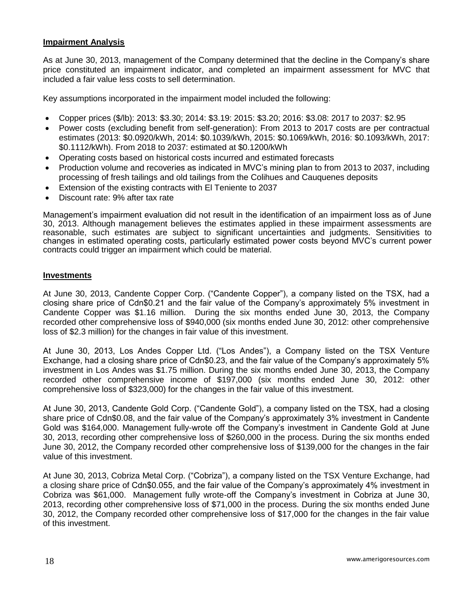### **Impairment Analysis**

As at June 30, 2013, management of the Company determined that the decline in the Company's share price constituted an impairment indicator, and completed an impairment assessment for MVC that included a fair value less costs to sell determination.

Key assumptions incorporated in the impairment model included the following:

- Copper prices (\$/lb): 2013: \$3.30; 2014: \$3.19: 2015: \$3.20; 2016: \$3.08: 2017 to 2037: \$2.95
- Power costs (excluding benefit from self-generation): From 2013 to 2017 costs are per contractual estimates (2013: \$0.0920/kWh, 2014: \$0.1039/kWh, 2015: \$0.1069/kWh, 2016: \$0.1093/kWh, 2017: \$0.1112/kWh). From 2018 to 2037: estimated at \$0.1200/kWh
- Operating costs based on historical costs incurred and estimated forecasts
- Production volume and recoveries as indicated in MVC's mining plan to from 2013 to 2037, including processing of fresh tailings and old tailings from the Colihues and Cauquenes deposits
- Extension of the existing contracts with El Teniente to 2037
- Discount rate: 9% after tax rate

Management's impairment evaluation did not result in the identification of an impairment loss as of June 30, 2013. Although management believes the estimates applied in these impairment assessments are reasonable, such estimates are subject to significant uncertainties and judgments. Sensitivities to changes in estimated operating costs, particularly estimated power costs beyond MVC's current power contracts could trigger an impairment which could be material.

### **Investments**

At June 30, 2013, Candente Copper Corp. ("Candente Copper"), a company listed on the TSX, had a closing share price of Cdn\$0.21 and the fair value of the Company's approximately 5% investment in Candente Copper was \$1.16 million. During the six months ended June 30, 2013, the Company recorded other comprehensive loss of \$940,000 (six months ended June 30, 2012: other comprehensive loss of \$2.3 million) for the changes in fair value of this investment.

At June 30, 2013, Los Andes Copper Ltd. ("Los Andes"), a Company listed on the TSX Venture Exchange, had a closing share price of Cdn\$0.23, and the fair value of the Company's approximately 5% investment in Los Andes was \$1.75 million. During the six months ended June 30, 2013, the Company recorded other comprehensive income of \$197,000 (six months ended June 30, 2012: other comprehensive loss of \$323,000) for the changes in the fair value of this investment.

At June 30, 2013, Candente Gold Corp. ("Candente Gold"), a company listed on the TSX, had a closing share price of Cdn\$0.08, and the fair value of the Company's approximately 3% investment in Candente Gold was \$164,000. Management fully-wrote off the Company's investment in Candente Gold at June 30, 2013, recording other comprehensive loss of \$260,000 in the process. During the six months ended June 30, 2012, the Company recorded other comprehensive loss of \$139,000 for the changes in the fair value of this investment.

At June 30, 2013, Cobriza Metal Corp. ("Cobriza"), a company listed on the TSX Venture Exchange, had a closing share price of Cdn\$0.055, and the fair value of the Company's approximately 4% investment in Cobriza was \$61,000. Management fully wrote-off the Company's investment in Cobriza at June 30, 2013, recording other comprehensive loss of \$71,000 in the process. During the six months ended June 30, 2012, the Company recorded other comprehensive loss of \$17,000 for the changes in the fair value of this investment.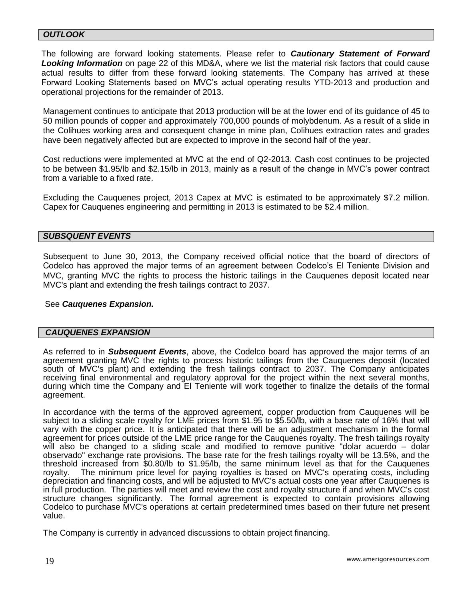### *OUTLOOK*

The following are forward looking statements. Please refer to *Cautionary Statement of Forward Looking Information* on page 22 of this MD&A, where we list the material risk factors that could cause actual results to differ from these forward looking statements. The Company has arrived at these Forward Looking Statements based on MVC's actual operating results YTD-2013 and production and operational projections for the remainder of 2013.

Management continues to anticipate that 2013 production will be at the lower end of its guidance of 45 to 50 million pounds of copper and approximately 700,000 pounds of molybdenum. As a result of a slide in the Colihues working area and consequent change in mine plan, Colihues extraction rates and grades have been negatively affected but are expected to improve in the second half of the year.

Cost reductions were implemented at MVC at the end of Q2-2013. Cash cost continues to be projected to be between \$1.95/lb and \$2.15/lb in 2013, mainly as a result of the change in MVC's power contract from a variable to a fixed rate.

Excluding the Cauquenes project, 2013 Capex at MVC is estimated to be approximately \$7.2 million. Capex for Cauquenes engineering and permitting in 2013 is estimated to be \$2.4 million.

### *SUBSQUENT EVENTS*

Subsequent to June 30, 2013, the Company received official notice that the board of directors of Codelco has approved the major terms of an agreement between Codelco's El Teniente Division and MVC, granting MVC the rights to process the historic tailings in the Cauquenes deposit located near MVC's plant and extending the fresh tailings contract to 2037.

### See *Cauquenes Expansion.*

#### *CAUQUENES EXPANSION*

As referred to in *Subsequent Events*, above, the Codelco board has approved the major terms of an agreement granting MVC the rights to process historic tailings from the Cauquenes deposit (located south of MVC's plant) and extending the fresh tailings contract to 2037. The Company anticipates receiving final environmental and regulatory approval for the project within the next several months, during which time the Company and El Teniente will work together to finalize the details of the formal agreement.

In accordance with the terms of the approved agreement, copper production from Cauquenes will be subject to a sliding scale royalty for LME prices from \$1.95 to \$5.50/lb, with a base rate of 16% that will vary with the copper price. It is anticipated that there will be an adjustment mechanism in the formal agreement for prices outside of the LME price range for the Cauquenes royalty. The fresh tailings royalty will also be changed to a sliding scale and modified to remove punitive "dolar acuerdo – dolar observado" exchange rate provisions. The base rate for the fresh tailings royalty will be 13.5%, and the threshold increased from \$0.80/lb to \$1.95/lb, the same minimum level as that for the Cauquenes royalty. The minimum price level for paying royalties is based on MVC's operating costs, including depreciation and financing costs, and will be adjusted to MVC's actual costs one year after Cauquenes is in full production. The parties will meet and review the cost and royalty structure if and when MVC's cost structure changes significantly. The formal agreement is expected to contain provisions allowing Codelco to purchase MVC's operations at certain predetermined times based on their future net present value.

The Company is currently in advanced discussions to obtain project financing.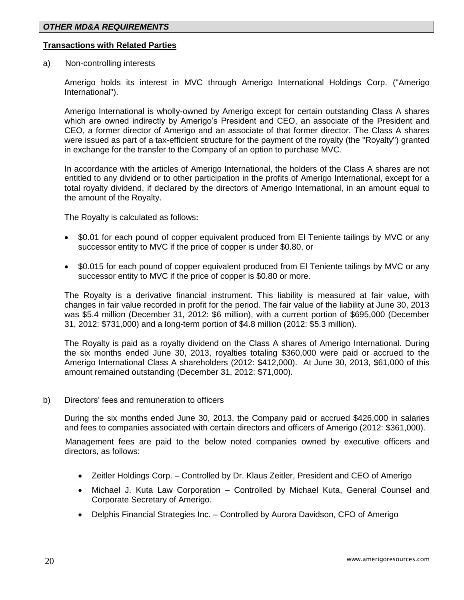### **Transactions with Related Parties**

a) Non-controlling interests

Amerigo holds its interest in MVC through Amerigo International Holdings Corp. ("Amerigo International").

Amerigo International is wholly-owned by Amerigo except for certain outstanding Class A shares which are owned indirectly by Amerigo's President and CEO, an associate of the President and CEO, a former director of Amerigo and an associate of that former director. The Class A shares were issued as part of a tax-efficient structure for the payment of the royalty (the "Royalty") granted in exchange for the transfer to the Company of an option to purchase MVC.

In accordance with the articles of Amerigo International, the holders of the Class A shares are not entitled to any dividend or to other participation in the profits of Amerigo International, except for a total royalty dividend, if declared by the directors of Amerigo International, in an amount equal to the amount of the Royalty.

The Royalty is calculated as follows:

- \$0.01 for each pound of copper equivalent produced from El Teniente tailings by MVC or any successor entity to MVC if the price of copper is under \$0.80, or
- \$0.015 for each pound of copper equivalent produced from El Teniente tailings by MVC or any successor entity to MVC if the price of copper is \$0.80 or more.

The Royalty is a derivative financial instrument. This liability is measured at fair value, with changes in fair value recorded in profit for the period. The fair value of the liability at June 30, 2013 was \$5.4 million (December 31, 2012: \$6 million), with a current portion of \$695,000 (December 31, 2012: \$731,000) and a long-term portion of \$4.8 million (2012: \$5.3 million).

The Royalty is paid as a royalty dividend on the Class A shares of Amerigo International. During the six months ended June 30, 2013, royalties totaling \$360,000 were paid or accrued to the Amerigo International Class A shareholders (2012: \$412,000). At June 30, 2013, \$61,000 of this amount remained outstanding (December 31, 2012: \$71,000).

b) Directors' fees and remuneration to officers

During the six months ended June 30, 2013, the Company paid or accrued \$426,000 in salaries and fees to companies associated with certain directors and officers of Amerigo (2012: \$361,000).

Management fees are paid to the below noted companies owned by executive officers and directors, as follows:

- Zeitler Holdings Corp. Controlled by Dr. Klaus Zeitler, President and CEO of Amerigo
- Michael J. Kuta Law Corporation Controlled by Michael Kuta, General Counsel and Corporate Secretary of Amerigo.
- Delphis Financial Strategies Inc. Controlled by Aurora Davidson, CFO of Amerigo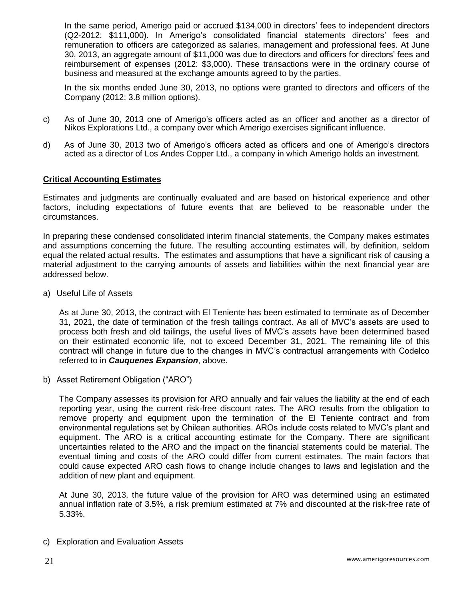In the same period, Amerigo paid or accrued \$134,000 in directors' fees to independent directors (Q2-2012: \$111,000). In Amerigo's consolidated financial statements directors' fees and remuneration to officers are categorized as salaries, management and professional fees. At June 30, 2013, an aggregate amount of \$11,000 was due to directors and officers for directors' fees and reimbursement of expenses (2012: \$3,000). These transactions were in the ordinary course of business and measured at the exchange amounts agreed to by the parties.

In the six months ended June 30, 2013, no options were granted to directors and officers of the Company (2012: 3.8 million options).

- c) As of June 30, 2013 one of Amerigo's officers acted as an officer and another as a director of Nikos Explorations Ltd., a company over which Amerigo exercises significant influence.
- d) As of June 30, 2013 two of Amerigo's officers acted as officers and one of Amerigo's directors acted as a director of Los Andes Copper Ltd., a company in which Amerigo holds an investment.

### **Critical Accounting Estimates**

Estimates and judgments are continually evaluated and are based on historical experience and other factors, including expectations of future events that are believed to be reasonable under the circumstances.

In preparing these condensed consolidated interim financial statements, the Company makes estimates and assumptions concerning the future. The resulting accounting estimates will, by definition, seldom equal the related actual results. The estimates and assumptions that have a significant risk of causing a material adjustment to the carrying amounts of assets and liabilities within the next financial year are addressed below.

a) Useful Life of Assets

As at June 30, 2013, the contract with El Teniente has been estimated to terminate as of December 31, 2021, the date of termination of the fresh tailings contract. As all of MVC's assets are used to process both fresh and old tailings, the useful lives of MVC's assets have been determined based on their estimated economic life, not to exceed December 31, 2021. The remaining life of this contract will change in future due to the changes in MVC's contractual arrangements with Codelco referred to in *Cauquenes Expansion*, above.

b) Asset Retirement Obligation ("ARO")

The Company assesses its provision for ARO annually and fair values the liability at the end of each reporting year, using the current risk-free discount rates. The ARO results from the obligation to remove property and equipment upon the termination of the El Teniente contract and from environmental regulations set by Chilean authorities. AROs include costs related to MVC's plant and equipment. The ARO is a critical accounting estimate for the Company. There are significant uncertainties related to the ARO and the impact on the financial statements could be material. The eventual timing and costs of the ARO could differ from current estimates. The main factors that could cause expected ARO cash flows to change include changes to laws and legislation and the addition of new plant and equipment.

At June 30, 2013, the future value of the provision for ARO was determined using an estimated annual inflation rate of 3.5%, a risk premium estimated at 7% and discounted at the risk-free rate of 5.33%.

c) Exploration and Evaluation Assets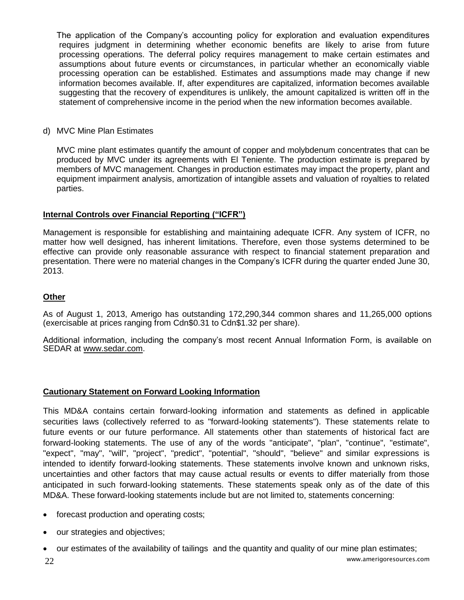The application of the Company's accounting policy for exploration and evaluation expenditures requires judgment in determining whether economic benefits are likely to arise from future processing operations. The deferral policy requires management to make certain estimates and assumptions about future events or circumstances, in particular whether an economically viable processing operation can be established. Estimates and assumptions made may change if new information becomes available. If, after expenditures are capitalized, information becomes available suggesting that the recovery of expenditures is unlikely, the amount capitalized is written off in the statement of comprehensive income in the period when the new information becomes available.

### d) MVC Mine Plan Estimates

MVC mine plant estimates quantify the amount of copper and molybdenum concentrates that can be produced by MVC under its agreements with El Teniente. The production estimate is prepared by members of MVC management. Changes in production estimates may impact the property, plant and equipment impairment analysis, amortization of intangible assets and valuation of royalties to related parties.

### **Internal Controls over Financial Reporting ("ICFR")**

Management is responsible for establishing and maintaining adequate ICFR. Any system of ICFR, no matter how well designed, has inherent limitations. Therefore, even those systems determined to be effective can provide only reasonable assurance with respect to financial statement preparation and presentation. There were no material changes in the Company's ICFR during the quarter ended June 30, 2013.

### **Other**

As of August 1, 2013, Amerigo has outstanding 172,290,344 common shares and 11,265,000 options (exercisable at prices ranging from Cdn\$0.31 to Cdn\$1.32 per share).

Additional information, including the company's most recent Annual Information Form, is available on SEDAR at [www.sedar.com.](http://www.sedar.com/)

### **Cautionary Statement on Forward Looking Information**

This MD&A contains certain forward-looking information and statements as defined in applicable securities laws (collectively referred to as "forward-looking statements"). These statements relate to future events or our future performance. All statements other than statements of historical fact are forward-looking statements. The use of any of the words "anticipate", "plan", "continue", "estimate", "expect", "may", "will", "project", "predict", "potential", "should", "believe" and similar expressions is intended to identify forward-looking statements. These statements involve known and unknown risks, uncertainties and other factors that may cause actual results or events to differ materially from those anticipated in such forward-looking statements. These statements speak only as of the date of this MD&A. These forward-looking statements include but are not limited to, statements concerning:

- forecast production and operating costs;
- our strategies and objectives;
- our estimates of the availability of tailings and the quantity and quality of our mine plan estimates;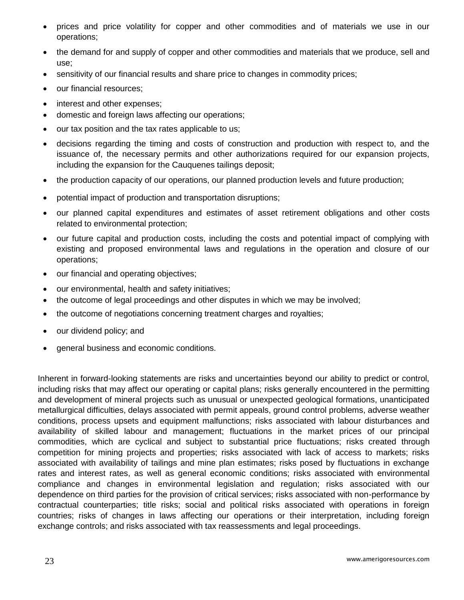- prices and price volatility for copper and other commodities and of materials we use in our operations;
- the demand for and supply of copper and other commodities and materials that we produce, sell and use;
- sensitivity of our financial results and share price to changes in commodity prices;
- our financial resources;
- interest and other expenses;
- domestic and foreign laws affecting our operations;
- our tax position and the tax rates applicable to us;
- decisions regarding the timing and costs of construction and production with respect to, and the issuance of, the necessary permits and other authorizations required for our expansion projects, including the expansion for the Cauquenes tailings deposit;
- the production capacity of our operations, our planned production levels and future production;
- potential impact of production and transportation disruptions;
- our planned capital expenditures and estimates of asset retirement obligations and other costs related to environmental protection;
- our future capital and production costs, including the costs and potential impact of complying with existing and proposed environmental laws and regulations in the operation and closure of our operations;
- our financial and operating objectives;
- our environmental, health and safety initiatives;
- the outcome of legal proceedings and other disputes in which we may be involved;
- the outcome of negotiations concerning treatment charges and royalties;
- our dividend policy; and
- general business and economic conditions.

Inherent in forward-looking statements are risks and uncertainties beyond our ability to predict or control, including risks that may affect our operating or capital plans; risks generally encountered in the permitting and development of mineral projects such as unusual or unexpected geological formations, unanticipated metallurgical difficulties, delays associated with permit appeals, ground control problems, adverse weather conditions, process upsets and equipment malfunctions; risks associated with labour disturbances and availability of skilled labour and management; fluctuations in the market prices of our principal commodities, which are cyclical and subject to substantial price fluctuations; risks created through competition for mining projects and properties; risks associated with lack of access to markets; risks associated with availability of tailings and mine plan estimates; risks posed by fluctuations in exchange rates and interest rates, as well as general economic conditions; risks associated with environmental compliance and changes in environmental legislation and regulation; risks associated with our dependence on third parties for the provision of critical services; risks associated with non-performance by contractual counterparties; title risks; social and political risks associated with operations in foreign countries; risks of changes in laws affecting our operations or their interpretation, including foreign exchange controls; and risks associated with tax reassessments and legal proceedings.